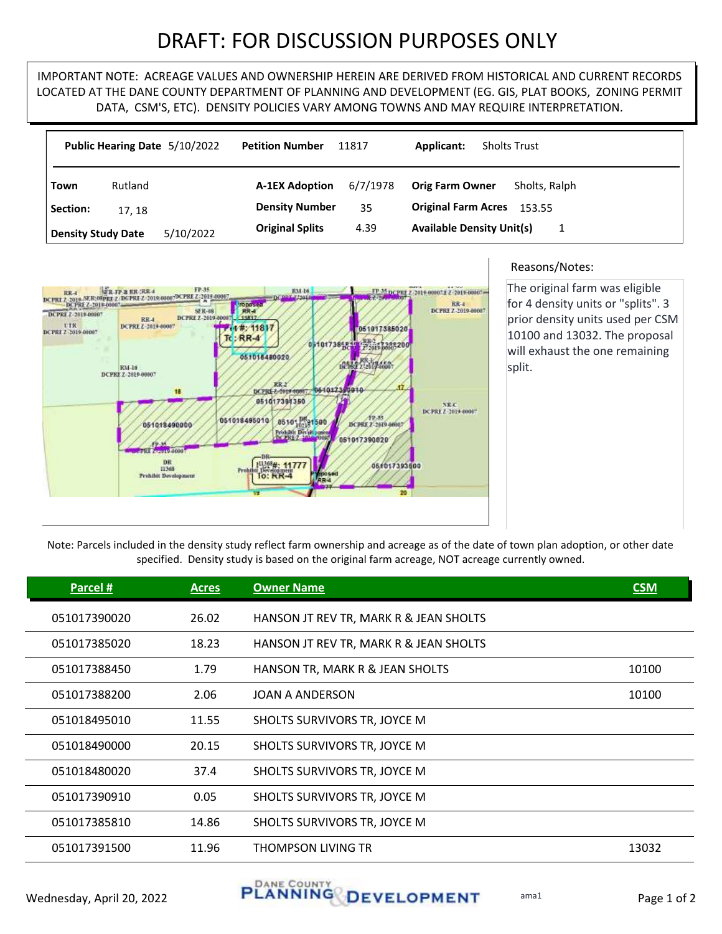## DRAFT: FOR DISCUSSION PURPOSES ONLY

IMPORTANT NOTE: ACREAGE VALUES AND OWNERSHIP HEREIN ARE DERIVED FROM HISTORICAL AND CURRENT RECORDS LOCATED AT THE DANE COUNTY DEPARTMENT OF PLANNING AND DEVELOPMENT (EG. GIS, PLAT BOOKS, ZONING PERMIT DATA, CSM'S, ETC). DENSITY POLICIES VARY AMONG TOWNS AND MAY REQUIRE INTERPRETATION.

|                           | Public Hearing Date 5/10/2022 | <b>Petition Number</b><br>11817   | <b>Sholts Trust</b><br>Applicant:       |
|---------------------------|-------------------------------|-----------------------------------|-----------------------------------------|
| Town                      | Rutland                       | 6/7/1978<br><b>A-1EX Adoption</b> | <b>Orig Farm Owner</b><br>Sholts, Ralph |
| Section:                  | 17.18                         | <b>Density Number</b><br>35       | <b>Original Farm Acres</b><br>153.55    |
| <b>Density Study Date</b> | 5/10/2022                     | <b>Original Splits</b><br>4.39    | <b>Available Density Unit(s)</b><br>1   |



## Reasons/Notes:

The original farm was eligible for 4 density units or "splits". 3 prior density units used per CSM 10100 and 13032. The proposal will exhaust the one remaining split.

Note: Parcels included in the density study reflect farm ownership and acreage as of the date of town plan adoption, or other date specified. Density study is based on the original farm acreage, NOT acreage currently owned.

| Parcel #     | <b>Acres</b> | <b>Owner Name</b>                      | <b>CSM</b> |
|--------------|--------------|----------------------------------------|------------|
| 051017390020 | 26.02        | HANSON JT REV TR, MARK R & JEAN SHOLTS |            |
| 051017385020 | 18.23        | HANSON JT REV TR, MARK R & JEAN SHOLTS |            |
| 051017388450 | 1.79         | HANSON TR, MARK R & JEAN SHOLTS        | 10100      |
| 051017388200 | 2.06         | JOAN A ANDERSON                        | 10100      |
| 051018495010 | 11.55        | SHOLTS SURVIVORS TR, JOYCE M           |            |
| 051018490000 | 20.15        | SHOLTS SURVIVORS TR, JOYCE M           |            |
| 051018480020 | 37.4         | SHOLTS SURVIVORS TR, JOYCE M           |            |
| 051017390910 | 0.05         | SHOLTS SURVIVORS TR, JOYCE M           |            |
| 051017385810 | 14.86        | SHOLTS SURVIVORS TR, JOYCE M           |            |
| 051017391500 | 11.96        | THOMPSON LIVING TR                     | 13032      |
|              |              |                                        |            |